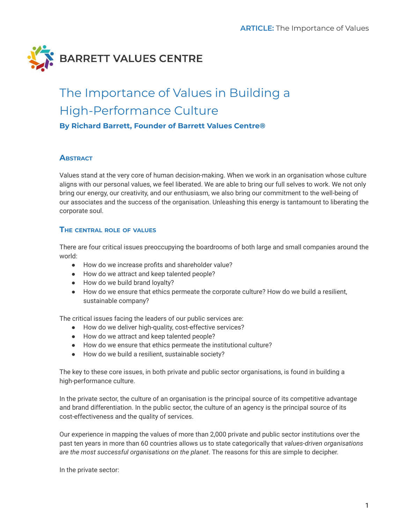

# The Importance of Values in Building a High-Performance Culture

**By Richard Barrett, Founder of Barrett Values Centre®**

# **ABSTRACT**

Values stand at the very core of human decision‐making. When we work in an organisation whose culture aligns with our personal values, we feel liberated. We are able to bring our full selves to work. We not only bring our energy, our creativity, and our enthusiasm, we also bring our commitment to the well‐being of our associates and the success of the organisation. Unleashing this energy is tantamount to liberating the corporate soul.

## **THE CENTRAL ROLE OF VALUES**

There are four critical issues preoccupying the boardrooms of both large and small companies around the world:

- How do we increase profits and shareholder value?
- How do we attract and keep talented people?
- How do we build brand loyalty?
- How do we ensure that ethics permeate the corporate culture? How do we build a resilient, sustainable company?

The critical issues facing the leaders of our public services are:

- How do we deliver high-quality, cost-effective services?
- How do we attract and keep talented people?
- How do we ensure that ethics permeate the institutional culture?
- How do we build a resilient, sustainable society?

The key to these core issues, in both private and public sector organisations, is found in building a high‐performance culture.

In the private sector, the culture of an organisation is the principal source of its competitive advantage and brand differentiation. In the public sector, the culture of an agency is the principal source of its cost-effectiveness and the quality of services.

Our experience in mapping the values of more than 2,000 private and public sector institutions over the past ten years in more than 60 countries allows us to state categorically that *values‐driven organisations are the most successful organisations on the planet*. The reasons for this are simple to decipher.

In the private sector: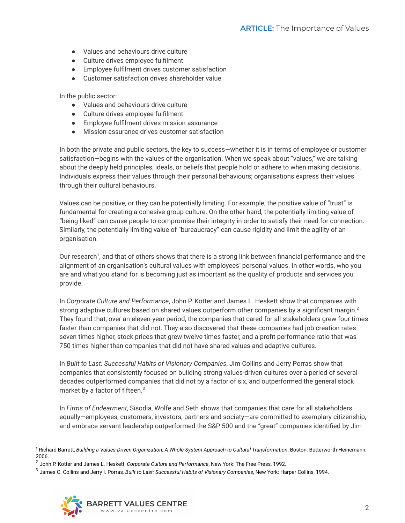- Values and behaviours drive culture
- Culture drives employee fulfilment
- Employee fulfilment drives customer satisfaction
- Customer satisfaction drives shareholder value

In the public sector:

- Values and behaviours drive culture
- Culture drives employee fulfilment
- Employee fulfilment drives mission assurance
- Mission assurance drives customer satisfaction

In both the private and public sectors, the key to success—whether it is in terms of employee or customer satisfaction—begins with the values of the organisation. When we speak about "values," we are talking about the deeply held principles, ideals, or beliefs that people hold or adhere to when making decisions. Individuals express their values through their personal behaviours; organisations express their values through their cultural behaviours.

Values can be positive, or they can be potentially limiting. For example, the positive value of "trust" is fundamental for creating a cohesive group culture. On the other hand, the potentially limiting value of "being liked" can cause people to compromise their integrity in order to satisfy their need for connection. Similarly, the potentially limiting value of "bureaucracy" can cause rigidity and limit the agility of an organisation.

Our research<sup>1</sup>, and that of others shows that there is a strong link between financial performance and the alignment of an organisation's cultural values with employees' personal values. In other words, who you are and what you stand for is becoming just as important as the quality of products and services you provide.

In *Corporate Culture and Performance*, John P. Kotter and James L. Heskett show that companies with strong adaptive cultures based on shared values outperform other companies by a significant margin.<sup>2</sup> They found that, over an eleven-year period, the companies that cared for all stakeholders grew four times faster than companies that did not. They also discovered that these companies had job creation rates seven times higher, stock prices that grew twelve times faster, and a profit performance ratio that was 750 times higher than companies that did not have shared values and adaptive cultures.

In *Built to Last: Successful Habits of Visionary Companies*, Jim Collins and Jerry Porras show that companies that consistently focused on building strong values‐driven cultures over a period of several decades outperformed companies that did not by a factor of six, and outperformed the general stock market by a factor of fifteen.<sup>3</sup>

In *Firms of Endearment*, Sisodia, Wolfe and Seth shows that companies that care for all stakeholders equally—employees, customers, investors, partners and society—are committed to exemplary citizenship, and embrace servant leadership outperformed the S&P 500 and the "great" companies identified by Jim

<sup>3</sup> James C. Collins and Jerry I. Porras*, Built to Last: Successful Habits of Visionary Companies*, New York: Harper Collins, 1994.



<sup>1</sup> Richard Barrett, *Building a Values-Driven Organization: A Whole-System Approach to Cultural Transformation*, Boston: Butterworth-Heinemann, 2006.

<sup>2</sup> John P. Kotter and James L. Heskett, *Corporate Culture and Performance*, New York: The Free Press, 1992.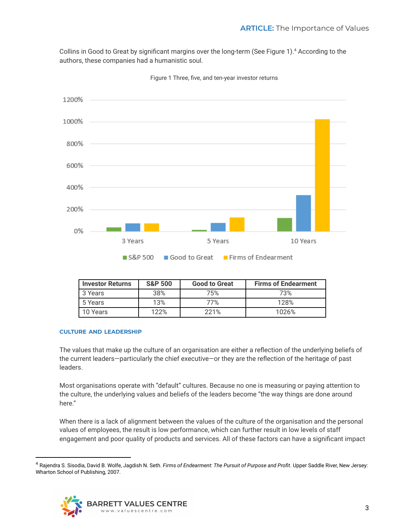Collins in Good to Great by significant margins over the long-term (See Figure 1).<sup>4</sup> According to the authors, these companies had a humanistic soul.



Figure 1 Three, five, and ten‐year investor returns

| <b>Investor Returns</b> | <b>S&amp;P 500</b> | <b>Good to Great</b> | <b>Firms of Endearment</b> |
|-------------------------|--------------------|----------------------|----------------------------|
| 3 Years                 | 38%                | 75%                  | 73%                        |
| 5 Years                 | 13%                | 77%                  | 128%                       |
| 10 Years                | 122%               | 221%                 | 1026%                      |

#### **CULTURE AND LEADERSHIP**

The values that make up the culture of an organisation are either a reflection of the underlying beliefs of the current leaders—particularly the chief executive—or they are the reflection of the heritage of past leaders.

Most organisations operate with "default" cultures. Because no one is measuring or paying attention to the culture, the underlying values and beliefs of the leaders become "the way things are done around here."

When there is a lack of alignment between the values of the culture of the organisation and the personal values of employees, the result is low performance, which can further result in low levels of staff engagement and poor quality of products and services. All of these factors can have a significant impact

<sup>4</sup> Rajendra S. Sisodia, David B. Wolfe, Jagdish N. Seth. *Firms of Endearment: The Pursuit of Purpose and Profit*. Upper Saddle River, New Jersey: Wharton School of Publishing, 2007.

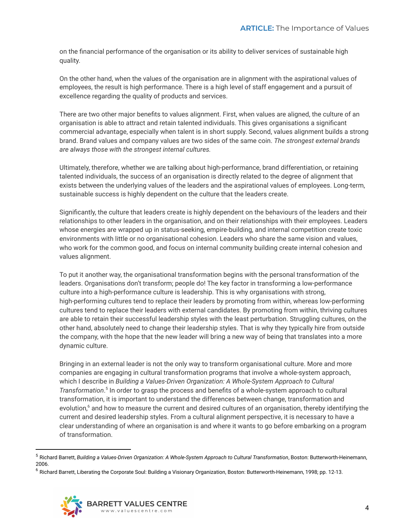on the financial performance of the organisation or its ability to deliver services of sustainable high quality.

On the other hand, when the values of the organisation are in alignment with the aspirational values of employees, the result is high performance. There is a high level of staff engagement and a pursuit of excellence regarding the quality of products and services.

There are two other major benefits to values alignment. First, when values are aligned, the culture of an organisation is able to attract and retain talented individuals. This gives organisations a significant commercial advantage, especially when talent is in short supply. Second, values alignment builds a strong brand. Brand values and company values are two sides of the same coin. *The strongest external brands are always those with the strongest internal cultures.*

Ultimately, therefore, whether we are talking about high-performance, brand differentiation, or retaining talented individuals, the success of an organisation is directly related to the degree of alignment that exists between the underlying values of the leaders and the aspirational values of employees. Long-term, sustainable success is highly dependent on the culture that the leaders create.

Significantly, the culture that leaders create is highly dependent on the behaviours of the leaders and their relationships to other leaders in the organisation, and on their relationships with their employees. Leaders whose energies are wrapped up in status-seeking, empire‐building, and internal competition create toxic environments with little or no organisational cohesion. Leaders who share the same vision and values, who work for the common good, and focus on internal community building create internal cohesion and values alignment.

To put it another way, the organisational transformation begins with the personal transformation of the leaders. Organisations don't transform; people do! The key factor in transforming a low-performance culture into a high‐performance culture is leadership. This is why organisations with strong, high‐performing cultures tend to replace their leaders by promoting from within, whereas low‐performing cultures tend to replace their leaders with external candidates. By promoting from within, thriving cultures are able to retain their successful leadership styles with the least perturbation. Struggling cultures, on the other hand, absolutely need to change their leadership styles. That is why they typically hire from outside the company, with the hope that the new leader will bring a new way of being that translates into a more dynamic culture.

Bringing in an external leader is not the only way to transform organisational culture. More and more companies are engaging in cultural transformation programs that involve a whole‐system approach, which I describe in *Building a Values‐Driven Organization: A Whole‐System Approach to Cultural* Transformation.<sup>5</sup> In order to grasp the process and benefits of a whole-system approach to cultural transformation, it is important to understand the differences between change, transformation and evolution, $^6$  and how to measure the current and desired cultures of an organisation, thereby identifying the current and desired leadership styles. From a cultural alignment perspective, it is necessary to have a clear understanding of where an organisation is and where it wants to go before embarking on a program of transformation.

 $6$  Richard Barrett, Liberating the Corporate Soul: Building a Visionary Organization, Boston: Butterworth-Heinemann, 1998; pp. 12-13.



<sup>5</sup> Richard Barrett, *Building a Values-Driven Organization: A Whole-System Approach to Cultural Transformation*, Boston: Butterworth-Heinemann, 2006.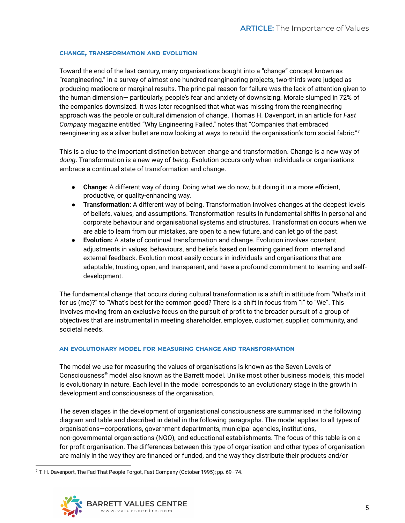## **CHANGE, TRANSFORMATION AND EVOLUTION**

Toward the end of the last century, many organisations bought into a "change" concept known as "reengineering." In a survey of almost one hundred reengineering projects, two‐thirds were judged as producing mediocre or marginal results. The principal reason for failure was the lack of attention given to the human dimension— particularly, people's fear and anxiety of downsizing. Morale slumped in 72% of the companies downsized. It was later recognised that what was missing from the reengineering approach was the people or cultural dimension of change. Thomas H. Davenport, in an article for *Fast Company* magazine entitled "Why Engineering Failed," notes that "Companies that embraced reengineering as a silver bullet are now looking at ways to rebuild the organisation's torn social fabric."<sup>7</sup>

This is a clue to the important distinction between change and transformation. Change is a new way of *doing*. Transformation is a new way of *being*. Evolution occurs only when individuals or organisations embrace a continual state of transformation and change.

- **Change:** A different way of doing. Doing what we do now, but doing it in a more efficient, productive, or quality-enhancing way.
- **Transformation:** A different way of being. Transformation involves changes at the deepest levels of beliefs, values, and assumptions. Transformation results in fundamental shifts in personal and corporate behaviour and organisational systems and structures. Transformation occurs when we are able to learn from our mistakes, are open to a new future, and can let go of the past.
- **Evolution:** A state of continual transformation and change. Evolution involves constant adjustments in values, behaviours, and beliefs based on learning gained from internal and external feedback. Evolution most easily occurs in individuals and organisations that are adaptable, trusting, open, and transparent, and have a profound commitment to learning and self‐ development.

The fundamental change that occurs during cultural transformation is a shift in attitude from "What's in it for us (me)?" to "What's best for the common good? There is a shift in focus from "I" to "We". This involves moving from an exclusive focus on the pursuit of profit to the broader pursuit of a group of objectives that are instrumental in meeting shareholder, employee, customer, supplier, community, and societal needs.

#### **AN EVOLUTIONARY MODEL FOR MEASURING CHANGE AND TRANSFORMATION**

The model we use for measuring the values of organisations is known as the Seven Levels of Consciousness ® model also known as the Barrett model. Unlike most other business models, this model is evolutionary in nature. Each level in the model corresponds to an evolutionary stage in the growth in development and consciousness of the organisation.

The seven stages in the development of organisational consciousness are summarised in the following diagram and table and described in detail in the following paragraphs. The model applies to all types of organisations—corporations, government departments, municipal agencies, institutions, non‐governmental organisations (NGO), and educational establishments. The focus of this table is on a for-profit organisation. The differences between this type of organisation and other types of organisation are mainly in the way they are financed or funded, and the way they distribute their products and/or

<sup>7</sup> T. H. Davenport, The Fad That People Forgot, Fast Company (October 1995); pp. 69–74.

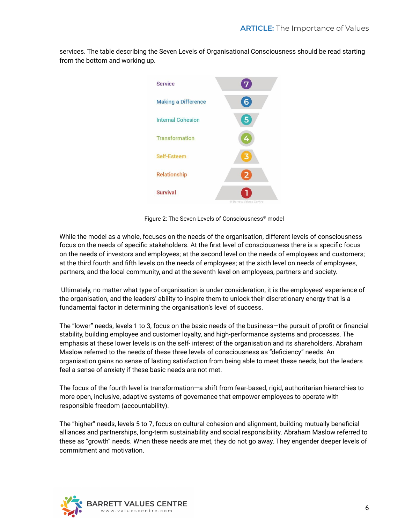services. The table describing the Seven Levels of Organisational Consciousness should be read starting from the bottom and working up.



Figure 2: The Seven Levels of Consciousness® model

While the model as a whole, focuses on the needs of the organisation, different levels of consciousness focus on the needs of specific stakeholders. At the first level of consciousness there is a specific focus on the needs of investors and employees; at the second level on the needs of employees and customers; at the third fourth and fifth levels on the needs of employees; at the sixth level on needs of employees, partners, and the local community, and at the seventh level on employees, partners and society.

Ultimately, no matter what type of organisation is under consideration, it is the employees' experience of the organisation, and the leaders' ability to inspire them to unlock their discretionary energy that is a fundamental factor in determining the organisation's level of success.

The "lower" needs, levels 1 to 3, focus on the basic needs of the business—the pursuit of profit or financial stability, building employee and customer loyalty, and high-performance systems and processes. The emphasis at these lower levels is on the self‐ interest of the organisation and its shareholders. Abraham Maslow referred to the needs of these three levels of consciousness as "deficiency" needs. An organisation gains no sense of lasting satisfaction from being able to meet these needs, but the leaders feel a sense of anxiety if these basic needs are not met.

The focus of the fourth level is transformation—a shift from fear‐based, rigid, authoritarian hierarchies to more open, inclusive, adaptive systems of governance that empower employees to operate with responsible freedom (accountability).

The "higher" needs, levels 5 to 7, focus on cultural cohesion and alignment, building mutually beneficial alliances and partnerships, long‐term sustainability and social responsibility. Abraham Maslow referred to these as "growth" needs. When these needs are met, they do not go away. They engender deeper levels of commitment and motivation.

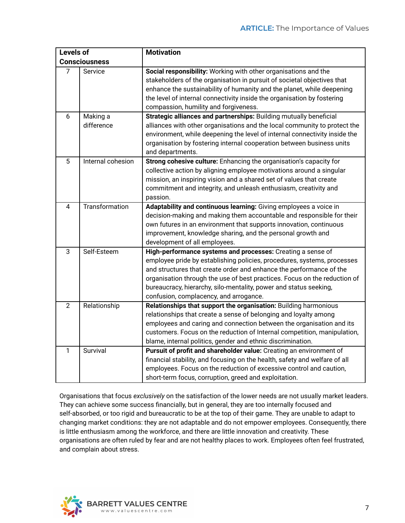| Levels of      |                      | <b>Motivation</b>                                                          |  |  |
|----------------|----------------------|----------------------------------------------------------------------------|--|--|
|                | <b>Consciousness</b> |                                                                            |  |  |
| 7              | Service              | Social responsibility: Working with other organisations and the            |  |  |
|                |                      | stakeholders of the organisation in pursuit of societal objectives that    |  |  |
|                |                      | enhance the sustainability of humanity and the planet, while deepening     |  |  |
|                |                      | the level of internal connectivity inside the organisation by fostering    |  |  |
|                |                      | compassion, humility and forgiveness.                                      |  |  |
| 6              | Making a             | Strategic alliances and partnerships: Building mutually beneficial         |  |  |
|                | difference           | alliances with other organisations and the local community to protect the  |  |  |
|                |                      | environment, while deepening the level of internal connectivity inside the |  |  |
|                |                      | organisation by fostering internal cooperation between business units      |  |  |
|                |                      | and departments.                                                           |  |  |
| 5              | Internal cohesion    | Strong cohesive culture: Enhancing the organisation's capacity for         |  |  |
|                |                      | collective action by aligning employee motivations around a singular       |  |  |
|                |                      | mission, an inspiring vision and a shared set of values that create        |  |  |
|                |                      | commitment and integrity, and unleash enthusiasm, creativity and           |  |  |
|                |                      | passion.                                                                   |  |  |
| 4              | Transformation       | Adaptability and continuous learning: Giving employees a voice in          |  |  |
|                |                      | decision-making and making them accountable and responsible for their      |  |  |
|                |                      | own futures in an environment that supports innovation, continuous         |  |  |
|                |                      | improvement, knowledge sharing, and the personal growth and                |  |  |
|                |                      | development of all employees.                                              |  |  |
| 3              | Self-Esteem          | High-performance systems and processes: Creating a sense of                |  |  |
|                |                      | employee pride by establishing policies, procedures, systems, processes    |  |  |
|                |                      | and structures that create order and enhance the performance of the        |  |  |
|                |                      | organisation through the use of best practices. Focus on the reduction of  |  |  |
|                |                      | bureaucracy, hierarchy, silo-mentality, power and status seeking,          |  |  |
|                |                      | confusion, complacency, and arrogance.                                     |  |  |
| $\overline{2}$ | Relationship         | Relationships that support the organisation: Building harmonious           |  |  |
|                |                      | relationships that create a sense of belonging and loyalty among           |  |  |
|                |                      | employees and caring and connection between the organisation and its       |  |  |
|                |                      | customers. Focus on the reduction of Internal competition, manipulation,   |  |  |
|                |                      | blame, internal politics, gender and ethnic discrimination.                |  |  |
| 1              | Survival             | Pursuit of profit and shareholder value: Creating an environment of        |  |  |
|                |                      | financial stability, and focusing on the health, safety and welfare of all |  |  |
|                |                      | employees. Focus on the reduction of excessive control and caution,        |  |  |
|                |                      | short-term focus, corruption, greed and exploitation.                      |  |  |

Organisations that focus *exclusively* on the satisfaction of the lower needs are not usually market leaders. They can achieve some success financially, but in general, they are too internally focused and self-absorbed, or too rigid and bureaucratic to be at the top of their game. They are unable to adapt to changing market conditions: they are not adaptable and do not empower employees. Consequently, there is little enthusiasm among the workforce, and there are little innovation and creativity. These organisations are often ruled by fear and are not healthy places to work. Employees often feel frustrated, and complain about stress.

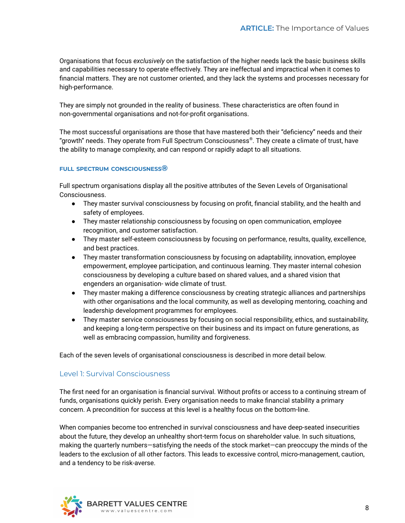Organisations that focus *exclusively* on the satisfaction of the higher needs lack the basic business skills and capabilities necessary to operate effectively. They are ineffectual and impractical when it comes to financial matters. They are not customer oriented, and they lack the systems and processes necessary for high-performance.

They are simply not grounded in the reality of business. These characteristics are often found in non‐governmental organisations and not‐for‐profit organisations.

The most successful organisations are those that have mastered both their "deficiency" needs and their "growth" needs. They operate from Full Spectrum Consciousness ® . They create a climate of trust, have the ability to manage complexity, and can respond or rapidly adapt to all situations.

## **FULL SPECTRUM CONSCIOUSNESS®**

Full spectrum organisations display all the positive attributes of the Seven Levels of Organisational Consciousness.

- They master survival consciousness by focusing on profit, financial stability, and the health and safety of employees.
- They master relationship consciousness by focusing on open communication, employee recognition, and customer satisfaction.
- They master self‐esteem consciousness by focusing on performance, results, quality, excellence, and best practices.
- They master transformation consciousness by focusing on adaptability, innovation, employee empowerment, employee participation, and continuous learning. They master internal cohesion consciousness by developing a culture based on shared values, and a shared vision that engenders an organisation‐ wide climate of trust.
- They master making a difference consciousness by creating strategic alliances and partnerships with other organisations and the local community, as well as developing mentoring, coaching and leadership development programmes for employees.
- They master service consciousness by focusing on social responsibility, ethics, and sustainability, and keeping a long‐term perspective on their business and its impact on future generations, as well as embracing compassion, humility and forgiveness.

Each of the seven levels of organisational consciousness is described in more detail below.

## Level 1: Survival Consciousness

The first need for an organisation is financial survival. Without profits or access to a continuing stream of funds, organisations quickly perish. Every organisation needs to make financial stability a primary concern. A precondition for success at this level is a healthy focus on the bottom‐line.

When companies become too entrenched in survival consciousness and have deep-seated insecurities about the future, they develop an unhealthy short‐term focus on shareholder value. In such situations, making the quarterly numbers—satisfying the needs of the stock market—can preoccupy the minds of the leaders to the exclusion of all other factors. This leads to excessive control, micro-management, caution, and a tendency to be risk‐averse.

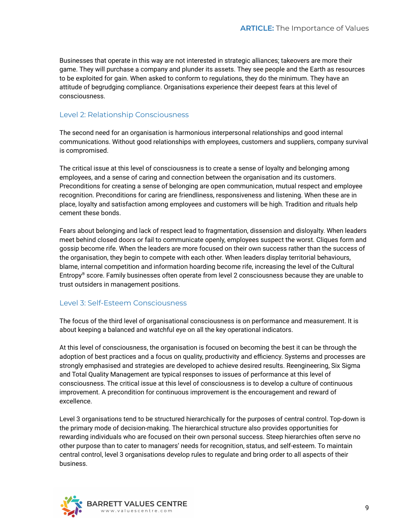Businesses that operate in this way are not interested in strategic alliances; takeovers are more their game. They will purchase a company and plunder its assets. They see people and the Earth as resources to be exploited for gain. When asked to conform to regulations, they do the minimum. They have an attitude of begrudging compliance. Organisations experience their deepest fears at this level of consciousness.

# Level 2: Relationship Consciousness

The second need for an organisation is harmonious interpersonal relationships and good internal communications. Without good relationships with employees, customers and suppliers, company survival is compromised.

The critical issue at this level of consciousness is to create a sense of loyalty and belonging among employees, and a sense of caring and connection between the organisation and its customers. Preconditions for creating a sense of belonging are open communication, mutual respect and employee recognition. Preconditions for caring are friendliness, responsiveness and listening. When these are in place, loyalty and satisfaction among employees and customers will be high. Tradition and rituals help cement these bonds.

Fears about belonging and lack of respect lead to fragmentation, dissension and disloyalty. When leaders meet behind closed doors or fail to communicate openly, employees suspect the worst. Cliques form and gossip become rife. When the leaders are more focused on their own success rather than the success of the organisation, they begin to compete with each other. When leaders display territorial behaviours, blame, internal competition and information hoarding become rife, increasing the level of the Cultural Entropy ® score. Family businesses often operate from level 2 consciousness because they are unable to trust outsiders in management positions.

# Level 3: Self-Esteem Consciousness

The focus of the third level of organisational consciousness is on performance and measurement. It is about keeping a balanced and watchful eye on all the key operational indicators.

At this level of consciousness, the organisation is focused on becoming the best it can be through the adoption of best practices and a focus on quality, productivity and efficiency. Systems and processes are strongly emphasised and strategies are developed to achieve desired results. Reengineering, Six Sigma and Total Quality Management are typical responses to issues of performance at this level of consciousness. The critical issue at this level of consciousness is to develop a culture of continuous improvement. A precondition for continuous improvement is the encouragement and reward of excellence.

Level 3 organisations tend to be structured hierarchically for the purposes of central control. Top-down is the primary mode of decision‐making. The hierarchical structure also provides opportunities for rewarding individuals who are focused on their own personal success. Steep hierarchies often serve no other purpose than to cater to managers' needs for recognition, status, and self‐esteem. To maintain central control, level 3 organisations develop rules to regulate and bring order to all aspects of their business.

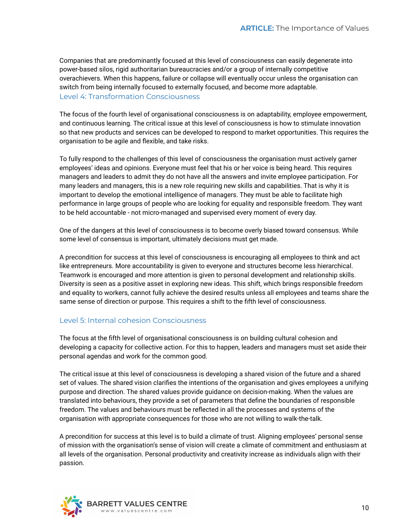Companies that are predominantly focused at this level of consciousness can easily degenerate into power‐based silos, rigid authoritarian bureaucracies and/or a group of internally competitive overachievers. When this happens, failure or collapse will eventually occur unless the organisation can switch from being internally focused to externally focused, and become more adaptable. Level 4: Transformation Consciousness

The focus of the fourth level of organisational consciousness is on adaptability, employee empowerment, and continuous learning. The critical issue at this level of consciousness is how to stimulate innovation so that new products and services can be developed to respond to market opportunities. This requires the organisation to be agile and flexible, and take risks.

To fully respond to the challenges of this level of consciousness the organisation must actively garner employees' ideas and opinions. Everyone must feel that his or her voice is being heard. This requires managers and leaders to admit they do not have all the answers and invite employee participation. For many leaders and managers, this is a new role requiring new skills and capabilities. That is why it is important to develop the emotional intelligence of managers. They must be able to facilitate high performance in large groups of people who are looking for equality and responsible freedom. They want to be held accountable ‐ not micro‐managed and supervised every moment of every day.

One of the dangers at this level of consciousness is to become overly biased toward consensus. While some level of consensus is important, ultimately decisions must get made.

A precondition for success at this level of consciousness is encouraging all employees to think and act like entrepreneurs. More accountability is given to everyone and structures become less hierarchical. Teamwork is encouraged and more attention is given to personal development and relationship skills. Diversity is seen as a positive asset in exploring new ideas. This shift, which brings responsible freedom and equality to workers, cannot fully achieve the desired results unless all employees and teams share the same sense of direction or purpose. This requires a shift to the fifth level of consciousness.

## Level 5: Internal cohesion Consciousness

The focus at the fifth level of organisational consciousness is on building cultural cohesion and developing a capacity for collective action. For this to happen, leaders and managers must set aside their personal agendas and work for the common good.

The critical issue at this level of consciousness is developing a shared vision of the future and a shared set of values. The shared vision clarifies the intentions of the organisation and gives employees a unifying purpose and direction. The shared values provide guidance on decision‐making. When the values are translated into behaviours, they provide a set of parameters that define the boundaries of responsible freedom. The values and behaviours must be reflected in all the processes and systems of the organisation with appropriate consequences for those who are not willing to walk-the-talk.

A precondition for success at this level is to build a climate of trust. Aligning employees' personal sense of mission with the organisation's sense of vision will create a climate of commitment and enthusiasm at all levels of the organisation. Personal productivity and creativity increase as individuals align with their passion.

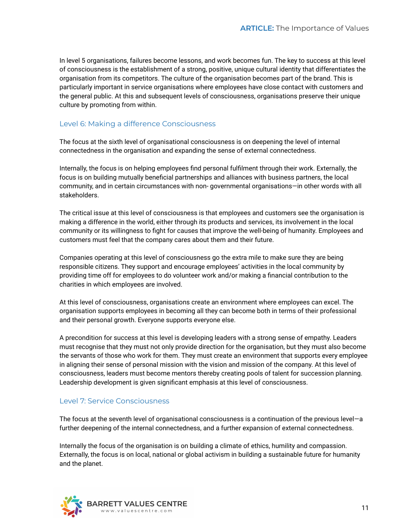In level 5 organisations, failures become lessons, and work becomes fun. The key to success at this level of consciousness is the establishment of a strong, positive, unique cultural identity that differentiates the organisation from its competitors. The culture of the organisation becomes part of the brand. This is particularly important in service organisations where employees have close contact with customers and the general public. At this and subsequent levels of consciousness, organisations preserve their unique culture by promoting from within.

# Level 6: Making a difference Consciousness

The focus at the sixth level of organisational consciousness is on deepening the level of internal connectedness in the organisation and expanding the sense of external connectedness.

Internally, the focus is on helping employees find personal fulfilment through their work. Externally, the focus is on building mutually beneficial partnerships and alliances with business partners, the local community, and in certain circumstances with non‐ governmental organisations—in other words with all stakeholders.

The critical issue at this level of consciousness is that employees and customers see the organisation is making a difference in the world, either through its products and services, its involvement in the local community or its willingness to fight for causes that improve the well-being of humanity. Employees and customers must feel that the company cares about them and their future.

Companies operating at this level of consciousness go the extra mile to make sure they are being responsible citizens. They support and encourage employees' activities in the local community by providing time off for employees to do volunteer work and/or making a financial contribution to the charities in which employees are involved.

At this level of consciousness, organisations create an environment where employees can excel. The organisation supports employees in becoming all they can become both in terms of their professional and their personal growth. Everyone supports everyone else.

A precondition for success at this level is developing leaders with a strong sense of empathy. Leaders must recognise that they must not only provide direction for the organisation, but they must also become the servants of those who work for them. They must create an environment that supports every employee in aligning their sense of personal mission with the vision and mission of the company. At this level of consciousness, leaders must become mentors thereby creating pools of talent for succession planning. Leadership development is given significant emphasis at this level of consciousness.

# Level 7: Service Consciousness

The focus at the seventh level of organisational consciousness is a continuation of the previous level—a further deepening of the internal connectedness, and a further expansion of external connectedness.

Internally the focus of the organisation is on building a climate of ethics, humility and compassion. Externally, the focus is on local, national or global activism in building a sustainable future for humanity and the planet.